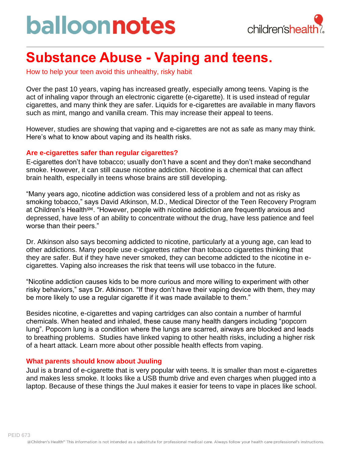# balloonnotes



### **Substance Abuse - Vaping and teens.**

How to help your teen avoid this unhealthy, risky habit

Over the past 10 years, vaping has increased greatly, especially among teens. Vaping is the act of inhaling vapor through an electronic cigarette (e-cigarette). It is used instead of regular cigarettes, and many think they are safer. Liquids for e-cigarettes are available in many flavors such as mint, mango and vanilla cream. This may increase their appeal to teens.

However, studies are showing that vaping and e-cigarettes are not as safe as many may think. Here's what to know about vaping and its health risks.

#### **Are e-cigarettes safer than regular cigarettes?**

E-cigarettes don't have tobacco; usually don't have a scent and they don't make secondhand smoke. However, it can still cause nicotine addiction. Nicotine is a chemical that can affect brain health, especially in teens whose brains are still developing.

"Many years ago, nicotine addiction was considered less of a problem and not as risky as smoking tobacco," says David Atkinson, M.D., Medical Director of the Teen Recovery Program at Children's Health<sup>sm</sup>. "However, people with nicotine addiction are frequently anxious and depressed, have less of an ability to concentrate without the drug, have less patience and feel worse than their peers."

Dr. Atkinson also says becoming addicted to nicotine, particularly at a young age, can lead to other addictions. Many people use e-cigarettes rather than tobacco cigarettes thinking that they are safer. But if they have never smoked, they can become addicted to the nicotine in ecigarettes. Vaping also increases the risk that teens will use tobacco in the future.

"Nicotine addiction causes kids to be more curious and more willing to experiment with other risky behaviors," says Dr. Atkinson. "If they don't have their vaping device with them, they may be more likely to use a regular cigarette if it was made available to them."

Besides nicotine, e-cigarettes and vaping cartridges can also contain a number of harmful chemicals. When heated and inhaled, these cause many health dangers including "popcorn lung". Popcorn lung is a condition where the lungs are scarred, airways are blocked and leads to breathing problems. Studies have linked vaping to other health risks, including a higher risk of a heart attack. Learn more about other possible health effects from vaping.

#### **What parents should know about Juuling**

Juul is a brand of e-cigarette that is very popular with teens. It is smaller than most e-cigarettes and makes less smoke. It looks like a USB thumb drive and even charges when plugged into a laptop. Because of these things the Juul makes it easier for teens to vape in places like school.